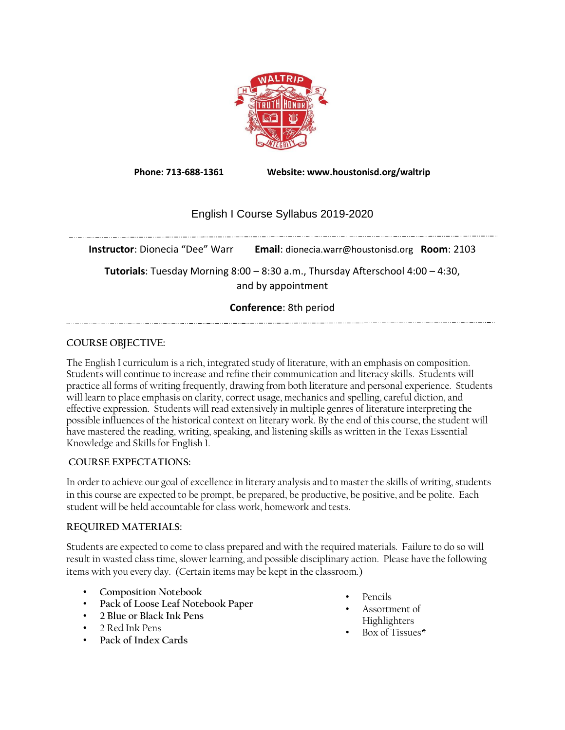

**Phone: 713-688-1361 Website: www.houstonisd.org/waltrip**

# English I Course Syllabus 2019-2020

**Instructor**: Dionecia "Dee" Warr **Email**: dionecia.warr@houstonisd.org **Room**: 2103

**Tutorials**: Tuesday Morning 8:00 – 8:30 a.m., Thursday Afterschool 4:00 – 4:30, and by appointment

### **Conference**: 8th period

## **COURSE OBJECTIVE:**

The English I curriculum is a rich, integrated study of literature, with an emphasis on composition. Students will continue to increase and refine their communication and literacy skills. Students will practice all forms of writing frequently, drawing from both literature and personal experience. Students will learn to place emphasis on clarity, correct usage, mechanics and spelling, careful diction, and effective expression. Students will read extensively in multiple genres of literature interpreting the possible influences of the historical context on literary work. By the end of this course, the student will have mastered the reading, writing, speaking, and listening skills as written in the Texas Essential Knowledge and Skills for English 1.

## **COURSE EXPECTATIONS:**

In order to achieve our goal of excellence in literary analysis and to master the skills of writing, students in this course are expected to be prompt, be prepared, be productive, be positive, and be polite. Each student will be held accountable for class work, homework and tests.

## **REQUIRED MATERIALS:**

Students are expected to come to class prepared and with the required materials. Failure to do so will result in wasted class time, slower learning, and possible disciplinary action. Please have the following items with you every day. (Certain items may be kept in the classroom.)

- **Composition Notebook**
- **Pack of Loose Leaf Notebook Paper**
- **2 Blue or Black Ink Pens**
- 2 Red Ink Pens
- **Pack of Index Cards**
- Pencils
- Assortment of Highlighters
- Box of Tissues\*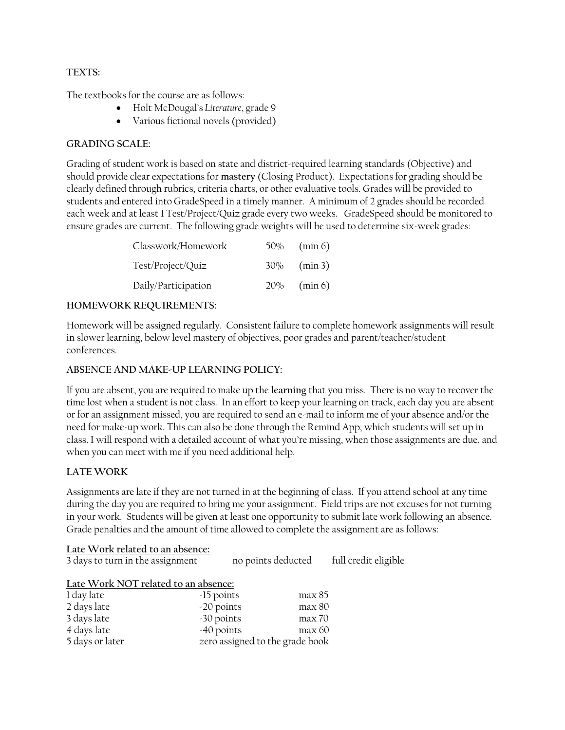## **TEXTS:**

The textbooks for the course are as follows:

- Holt McDougal's *Literature*, grade 9
- Various fictional novels (provided)

## **GRADING SCALE:**

Grading of student work is based on state and district-required learning standards (Objective) and should provide clear expectations for **mastery** (Closing Product). Expectations for grading should be clearly defined through rubrics, criteria charts, or other evaluative tools. Grades will be provided to students and entered into GradeSpeed in a timely manner. A minimum of 2 grades should be recorded each week and at least 1 Test/Project/Quiz grade every two weeks. GradeSpeed should be monitored to ensure grades are current. The following grade weights will be used to determine six-week grades:

| Classwork/Homework  | $50\%$ (min 6) |
|---------------------|----------------|
| Test/Project/Quiz   | $30\%$ (min 3) |
| Daily/Participation | $20\%$ (min 6) |

## **HOMEWORK REQUIREMENTS:**

Homework will be assigned regularly. Consistent failure to complete homework assignments will result in slower learning, below level mastery of objectives, poor grades and parent/teacher/student conferences.

## **ABSENCE AND MAKE-UP LEARNING POLICY:**

If you are absent, you are required to make up the **learning** that you miss. There is no way to recover the time lost when a student is not class. In an effort to keep your learning on track, each day you are absent or for an assignment missed, you are required to send an e-mail to inform me of your absence and/or the need for make-up work. This can also be done through the Remind App; which students will set up in class. I will respond with a detailed account of what you're missing, when those assignments are due, and when you can meet with me if you need additional help.

# **LATE WORK**

Assignments are late if they are not turned in at the beginning of class. If you attend school at any time during the day you are required to bring me your assignment. Field trips are not excuses for not turning in your work. Students will be given at least one opportunity to submit late work following an absence. Grade penalties and the amount of time allowed to complete the assignment are as follows:

# **Late Work related to an absence:**  3 days to turn in the assignment no points deducted full credit eligible **Late Work NOT related to an absence:**

| 1 day late      | $-15$ points | max 85                          |  |
|-----------------|--------------|---------------------------------|--|
| 2 days late     | $-20$ points | max 80                          |  |
| 3 days late     | -30 points   | max 70                          |  |
| 4 days late     | -40 points   | max 60                          |  |
| 5 days or later |              | zero assigned to the grade book |  |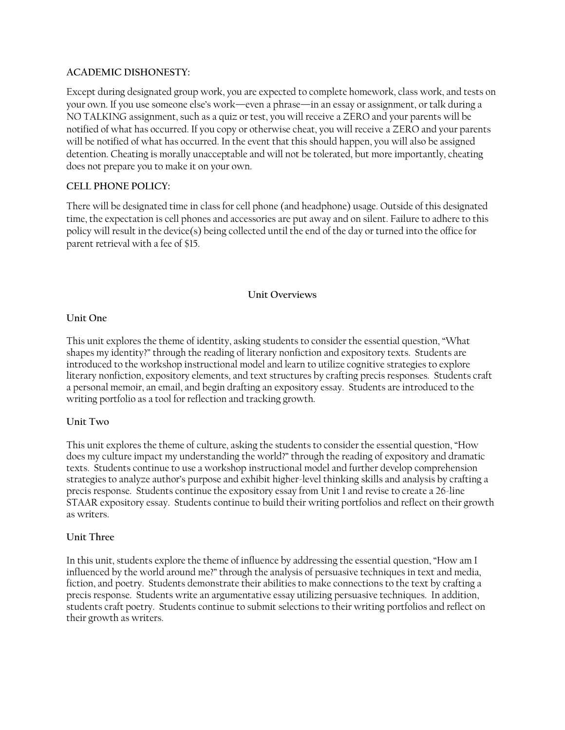### **ACADEMIC DISHONESTY:**

Except during designated group work, you are expected to complete homework, class work, and tests on your own. If you use someone else's work—even a phrase—in an essay or assignment, or talk during a NO TALKING assignment, such as a quiz or test, you will receive a ZERO and your parents will be notified of what has occurred. If you copy or otherwise cheat, you will receive a ZERO and your parents will be notified of what has occurred. In the event that this should happen, you will also be assigned detention. Cheating is morally unacceptable and will not be tolerated, but more importantly, cheating does not prepare you to make it on your own.

### **CELL PHONE POLICY:**

There will be designated time in class for cell phone (and headphone) usage. Outside of this designated time, the expectation is cell phones and accessories are put away and on silent. Failure to adhere to this policy will result in the device(s) being collected until the end of the day or turned into the office for parent retrieval with a fee of \$15.

### **Unit Overviews**

### **Unit One**

This unit explores the theme of identity, asking students to consider the essential question, "What shapes my identity?" through the reading of literary nonfiction and expository texts. Students are introduced to the workshop instructional model and learn to utilize cognitive strategies to explore literary nonfiction, expository elements, and text structures by crafting precis responses. Students craft a personal memoir, an email, and begin drafting an expository essay. Students are introduced to the writing portfolio as a tool for reflection and tracking growth.

## **Unit Two**

This unit explores the theme of culture, asking the students to consider the essential question, "How does my culture impact my understanding the world?" through the reading of expository and dramatic texts. Students continue to use a workshop instructional model and further develop comprehension strategies to analyze author's purpose and exhibit higher-level thinking skills and analysis by crafting a precis response. Students continue the expository essay from Unit 1 and revise to create a 26-line STAAR expository essay. Students continue to build their writing portfolios and reflect on their growth as writers.

### **Unit Three**

In this unit, students explore the theme of influence by addressing the essential question, "How am I influenced by the world around me?" through the analysis of persuasive techniques in text and media, fiction, and poetry. Students demonstrate their abilities to make connections to the text by crafting a precis response. Students write an argumentative essay utilizing persuasive techniques. In addition, students craft poetry. Students continue to submit selections to their writing portfolios and reflect on their growth as writers.